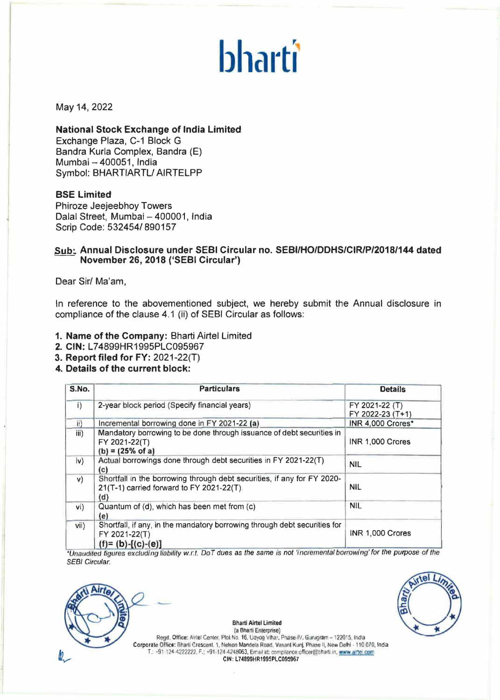# **bharti**

#### May 14, 2022

#### **National Stock Exchange of India Limited**

Exchange Plaza, C-1 Block G Bandra Kurla Complex, Bandra (E) Mumbai - 400051, India Symbol: BHARTIARTL/ AIRTELPP

#### **SSE Limited**

Phiroze Jeejeebhoy Towers Dalal Street, Mumbai - 400001, India Scrip Code: 532454/ 890157

## <u>Sub:</u> Annual Disclosure under SEBI Circular no. SEBI/HO/DDHS/CIR/P/2018/144 dated<br> November 26, 2018 ('SEBI Circular')

Dear Sir/ Ma'am,

In reference to the abovementioned subject, we hereby submit the Annual disclosure in compliance of the clause 4.1 (ii) of SEBI Circular as follows:

- **1. Name of the Company:** Bharti Airtel Limited
- **2. CIN:** L74899HR1995PLC095967
- **3. Report filed for FY:** 2021-22(T)
- **4. Details of the current block:**

| S.No.          | <b>Particulars</b>                                                                                                          | <b>Details</b>                     |
|----------------|-----------------------------------------------------------------------------------------------------------------------------|------------------------------------|
| $\overline{1}$ | 2-year block period (Specify financial years)                                                                               | FY 2021-22 (T)<br>FY 2022-23 (T+1) |
| ii)            | Incremental borrowing done in FY 2021-22 (a)                                                                                | INR 4,000 Crores*                  |
| iii)           | Mandatory borrowing to be done through issuance of debt securities in<br>FY 2021-22(T)<br>$(b) = (25% of a)$                | INR 1,000 Crores                   |
| iv)            | Actual borrowings done through debt securities in FY 2021-22(T)<br>(c)                                                      | <b>NIL</b>                         |
| V)             | Shortfall in the borrowing through debt securities, if any for FY 2020-<br>21(T-1) carried forward to FY 2021-22(T).<br>(d) | <b>NIL</b>                         |
| vi)            | Quantum of (d), which has been met from (c)<br>(e)                                                                          | <b>NIL</b>                         |
| vii)           | Shortfall, if any, in the mandatory borrowing through debt securities for<br>FY 2021-22(T)<br>$(f)=(b)-[(c)-(e)]$           | INR 1,000 Crores                   |

\*Unaudited figures excluding liability w.r.t. DoT dues as the same is not 'incremental borrowing' for the purpose of the SEBI Circular.





(a Bharti Enterprise) Regd. Office: Airlel Center, Plol No. 16, Uayog Vihar, Phase-IV, Gurugram - 122015. India Corporate Office: Bharti Crescent. 1, Nelson Mandela Road, Vasanl Kunj. Phase II, New Delhi - 110 070, India T.: +91-124-4222222, F.: +91-124-4248063. Errail id: compilance.officer@charti.in, www.alrtel.com CIN: L74899HR1995PLC095967

**Bharti Airtel Limited**